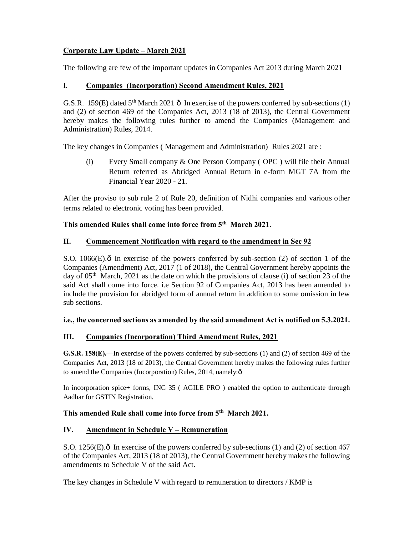# **Corporate Law Update – March 2021**

The following are few of the important updates in Companies Act 2013 during March 2021

# I. **Companies (Incorporation) Second Amendment Rules, 2021**

G.S.R. 159(E) dated  $5<sup>th</sup>$  March 2021  $\hat{o}$  In exercise of the powers conferred by sub-sections (1) and (2) of section 469 of the Companies Act, 2013 (18 of 2013), the Central Government hereby makes the following rules further to amend the Companies (Management and Administration) Rules, 2014.

The key changes in Companies ( Management and Administration) Rules 2021 are :

(i) Every Small company & One Person Company ( OPC ) will file their Annual Return referred as Abridged Annual Return in e-form MGT 7A from the Financial Year 2020 - 21.

After the proviso to sub rule 2 of Rule 20, definition of Nidhi companies and various other terms related to electronic voting has been provided.

# **This amended Rules shall come into force from 5th March 2021.**

# **II. Commencement Notification with regard to the amendment in Sec 92**

S.O. 1066 $(E)$ . $\delta$  In exercise of the powers conferred by sub-section (2) of section 1 of the Companies (Amendment) Act, 2017 (1 of 2018), the Central Government hereby appoints the day of  $05<sup>th</sup>$  March, 2021 as the date on which the provisions of clause (i) of section 23 of the said Act shall come into force. i.e Section 92 of Companies Act, 2013 has been amended to include the provision for abridged form of annual return in addition to some omission in few sub sections.

### **i.e., the concerned sections as amended by the said amendment Act is notified on 5.3.2021.**

# **III. Companies (Incorporation) Third Amendment Rules, 2021**

**G.S.R. 158(E).—**In exercise of the powers conferred by sub-sections (1) and (2) of section 469 of the Companies Act, 2013 (18 of 2013), the Central Government hereby makes the following rules further to amend the Companies (Incorporation) Rules, 2014, namely: $\hat{o}$ 

In incorporation spice+ forms, INC 35 ( AGILE PRO ) enabled the option to authenticate through Aadhar for GSTIN Registration.

# **This amended Rule shall come into force from 5th March 2021.**

# **IV. Amendment in Schedule V – Remuneration**

S.O. 1256 $(E)$ . $\hat{o}$  In exercise of the powers conferred by sub-sections (1) and (2) of section 467 of the Companies Act, 2013 (18 of 2013), the Central Government hereby makes the following amendments to Schedule V of the said Act.

The key changes in Schedule V with regard to remuneration to directors / KMP is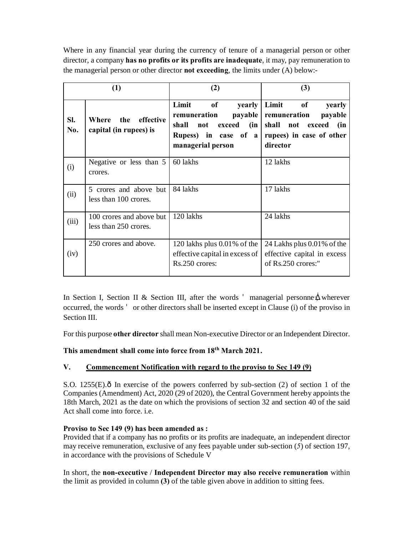Where in any financial year during the currency of tenure of a managerial person or other director, a company **has no profits or its profits are inadequate**, it may, pay remuneration to the managerial person or other director **not exceeding**, the limits under (A) below:-

| (1)        |                                                     | (2)                                                                                                                        | (3)                                                                                                                               |  |
|------------|-----------------------------------------------------|----------------------------------------------------------------------------------------------------------------------------|-----------------------------------------------------------------------------------------------------------------------------------|--|
| SI.<br>No. | effective<br>the<br>Where<br>capital (in rupees) is | Limit<br>$\bf{of}$<br>yearly<br>remuneration<br>shall<br>not<br>exceed<br>(in<br>Rupess) in case of a<br>managerial person | Limit<br>of<br>yearly<br>payable remuneration<br>payable<br>shall<br>not<br>exceed<br>(in<br>rupees) in case of other<br>director |  |
| (i)        | Negative or less than 5<br>crores.                  | 60 lakhs                                                                                                                   | 12 lakhs                                                                                                                          |  |
| (ii)       | 5 crores and above but<br>less than 100 crores.     | 84 lakhs                                                                                                                   | 17 lakhs                                                                                                                          |  |
| (iii)      | 100 crores and above but<br>less than 250 crores.   | 120 lakhs                                                                                                                  | 24 lakhs                                                                                                                          |  |
| (iv)       | 250 crores and above.                               | 120 lakhs plus 0.01% of the<br>effective capital in excess of<br>Rs.250 crores:                                            | 24 Lakhs plus 0.01% of the<br>effective capital in excess<br>of Rs.250 crores:"                                                   |  |

In Section I, Section II & Section III, after the words managerial personne, wherever occurred, the words or other directors shall be inserted except in Clause (i) of the proviso in Section III

For this purpose **other director** shall mean Non-executive Director or an Independent Director.

### **This amendment shall come into force from 18th March 2021.**

### **V. Commencement Notification with regard to the proviso to Sec 149 (9)**

S.O. 1255 $(E)$ . $\hat{o}$  In exercise of the powers conferred by sub-section (2) of section 1 of the Companies (Amendment) Act, 2020 (29 of 2020), the Central Government hereby appoints the 18th March, 2021 as the date on which the provisions of section 32 and section 40 of the said Act shall come into force. i.e.

#### **Proviso to Sec 149 (9) has been amended as :**

Provided that if a company has no profits or its profits are inadequate, an independent director may receive remuneration, exclusive of any fees payable under sub-section (*5*) of section 197, in accordance with the provisions of Schedule V

In short, the **non-executive** / **Independent Director may also receive remuneration** within the limit as provided in column **(3)** of the table given above in addition to sitting fees.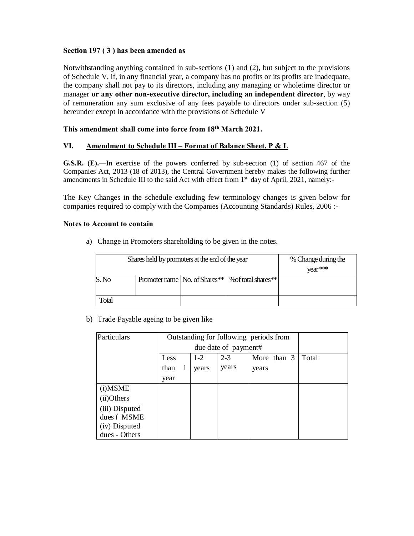#### **Section 197 ( 3 ) has been amended as**

Notwithstanding anything contained in sub-sections (1) and (2), but subject to the provisions of Schedule V, if, in any financial year, a company has no profits or its profits are inadequate, the company shall not pay to its directors, including any managing or wholetime director or manager **or any other non-executive director, including an independent director**, by way of remuneration any sum exclusive of any fees payable to directors under sub-section (5) hereunder except in accordance with the provisions of Schedule V

#### **This amendment shall come into force from 18th March 2021.**

#### **VI. Amendment to Schedule III – Format of Balance Sheet, P & L**

**G.S.R. (E).—**In exercise of the powers conferred by sub-section (1) of section 467 of the Companies Act, 2013 (18 of 2013), the Central Government hereby makes the following further amendments in Schedule III to the said Act with effect from 1<sup>st</sup> day of April, 2021, namely:-

The Key Changes in the schedule excluding few terminology changes is given below for companies required to comply with the Companies (Accounting Standards) Rules, 2006 :-

#### **Notes to Account to contain**

a) Change in Promoters shareholding to be given in the notes.

|       | Shares held by promoters at the end of the year | % Change during the             |                     |  |
|-------|-------------------------------------------------|---------------------------------|---------------------|--|
|       |                                                 | vear***                         |                     |  |
| S. No |                                                 | Promoter name   No. of Shares** | % of total shares** |  |
|       |                                                 |                                 |                     |  |
| Total |                                                 |                                 |                     |  |

b) Trade Payable ageing to be given like

| Particulars    | Outstanding for following periods from |  |       |                      |       |  |
|----------------|----------------------------------------|--|-------|----------------------|-------|--|
|                |                                        |  |       | due date of payment# |       |  |
|                | Less                                   |  | Total |                      |       |  |
|                | than                                   |  | years | years                | years |  |
|                | year                                   |  |       |                      |       |  |
| (i) MSME       |                                        |  |       |                      |       |  |
| (ii)Others     |                                        |  |       |                      |       |  |
| (iii) Disputed |                                        |  |       |                      |       |  |
| dues ó MSME    |                                        |  |       |                      |       |  |
| (iv) Disputed  |                                        |  |       |                      |       |  |
| dues - Others  |                                        |  |       |                      |       |  |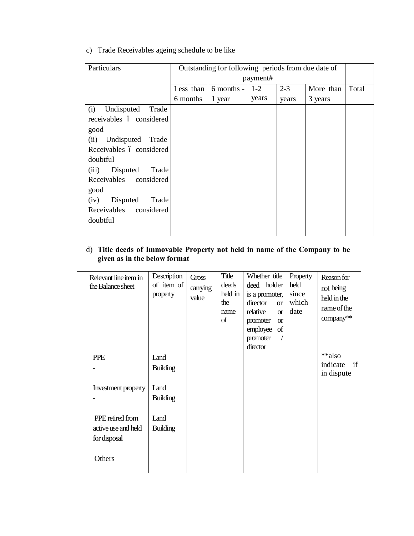c) Trade Receivables ageing schedule to be like

| Particulars                | Outstanding for following periods from due date of |            |       |         |           |       |  |  |  |
|----------------------------|----------------------------------------------------|------------|-------|---------|-----------|-------|--|--|--|
|                            |                                                    | payment#   |       |         |           |       |  |  |  |
|                            | Less than                                          | 6 months - | $1-2$ | $2 - 3$ | More than | Total |  |  |  |
|                            | 6 months                                           | 1 year     | years | years   | 3 years   |       |  |  |  |
| Undisputed<br>Trade<br>(i) |                                                    |            |       |         |           |       |  |  |  |
| receivables ó considered   |                                                    |            |       |         |           |       |  |  |  |
| good                       |                                                    |            |       |         |           |       |  |  |  |
| Undisputed Trade<br>(ii)   |                                                    |            |       |         |           |       |  |  |  |
| Receivables ó considered   |                                                    |            |       |         |           |       |  |  |  |
| doubtful                   |                                                    |            |       |         |           |       |  |  |  |
| Disputed<br>Trade<br>(iii) |                                                    |            |       |         |           |       |  |  |  |
| Receivables considered     |                                                    |            |       |         |           |       |  |  |  |
| good                       |                                                    |            |       |         |           |       |  |  |  |
| Disputed<br>(iv)<br>Trade  |                                                    |            |       |         |           |       |  |  |  |
| Receivables considered     |                                                    |            |       |         |           |       |  |  |  |
| doubtful                   |                                                    |            |       |         |           |       |  |  |  |
|                            |                                                    |            |       |         |           |       |  |  |  |

# d) **Title deeds of Immovable Property not held in name of the Company to be given as in the below format**

| Relevant line item in<br>the Balance sheet | Description<br>of item of<br>property | Gross<br>carrying<br>value | Title<br>deeds<br>held in<br>the<br>name<br>of | Whether title<br>deed holder<br>is a promoter,<br>director<br><b>or</b><br>relative<br>$\alpha$<br>promoter<br><b>or</b><br>employee<br>of<br>promoter<br>director | Property<br>held<br>since<br>which<br>date | Reason for<br>not being<br>held in the<br>name of the<br>company** |
|--------------------------------------------|---------------------------------------|----------------------------|------------------------------------------------|--------------------------------------------------------------------------------------------------------------------------------------------------------------------|--------------------------------------------|--------------------------------------------------------------------|
| <b>PPE</b>                                 | Land                                  |                            |                                                |                                                                                                                                                                    |                                            | **also                                                             |
|                                            | <b>Building</b>                       |                            |                                                |                                                                                                                                                                    |                                            | indicate<br>if<br>in dispute                                       |
| Investment property                        | Land<br><b>Building</b>               |                            |                                                |                                                                                                                                                                    |                                            |                                                                    |
| PPE retired from                           | Land                                  |                            |                                                |                                                                                                                                                                    |                                            |                                                                    |
| active use and held<br>for disposal        | <b>Building</b>                       |                            |                                                |                                                                                                                                                                    |                                            |                                                                    |
| Others                                     |                                       |                            |                                                |                                                                                                                                                                    |                                            |                                                                    |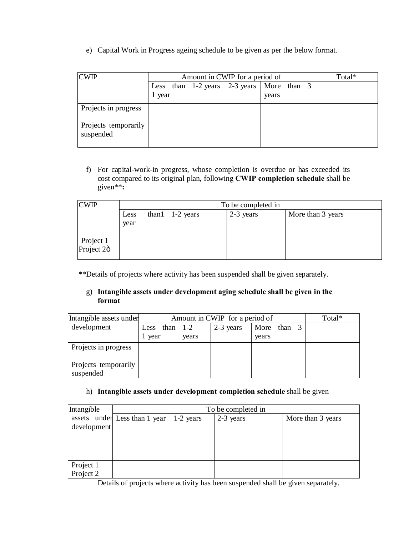e) Capital Work in Progress ageing schedule to be given as per the below format.

| <b>CWIP</b>                       |      | Amount in CWIP for a period of |                                                    |  |                      |  |  | Total* |
|-----------------------------------|------|--------------------------------|----------------------------------------------------|--|----------------------|--|--|--------|
|                                   | year |                                | Less than $ 1-2 \text{ years}   2-3 \text{ years}$ |  | More than 3<br>years |  |  |        |
| Projects in progress              |      |                                |                                                    |  |                      |  |  |        |
| Projects temporarily<br>suspended |      |                                |                                                    |  |                      |  |  |        |

f) For capital-work-in progress, whose completion is overdue or has exceeded its cost compared to its original plan, following **CWIP completion schedule** shall be given\*\***:**

| <b>CWIP</b>             |      |                                                      | To be completed in |  |  |  |  |  |  |
|-------------------------|------|------------------------------------------------------|--------------------|--|--|--|--|--|--|
|                         | Less | 2-3 years<br>More than 3 years<br>than $1 - 2$ years |                    |  |  |  |  |  |  |
|                         | year |                                                      |                    |  |  |  |  |  |  |
| Project 1<br>Project 2ö |      |                                                      |                    |  |  |  |  |  |  |

\*\*Details of projects where activity has been suspended shall be given separately.

# g) **Intangible assets under development aging schedule shall be given in the format**

| Intangible assets under           |              | Amount in CWIP for a period of |           |             |  |  |  |
|-----------------------------------|--------------|--------------------------------|-----------|-------------|--|--|--|
| development                       | than<br>Less | $1 - 2$                        | 2-3 years | More than 3 |  |  |  |
|                                   | vear         | years                          |           | years       |  |  |  |
| Projects in progress              |              |                                |           |             |  |  |  |
| Projects temporarily<br>suspended |              |                                |           |             |  |  |  |

# h) **Intangible assets under development completion schedule** shall be given

| Intangible             | To be completed in            |             |           |                   |  |  |  |
|------------------------|-------------------------------|-------------|-----------|-------------------|--|--|--|
|                        | assets under Less than 1 year | $1-2$ years | 2-3 years | More than 3 years |  |  |  |
| development            |                               |             |           |                   |  |  |  |
|                        |                               |             |           |                   |  |  |  |
|                        |                               |             |           |                   |  |  |  |
| Project 1<br>Project 2 |                               |             |           |                   |  |  |  |
|                        |                               |             |           |                   |  |  |  |

Details of projects where activity has been suspended shall be given separately.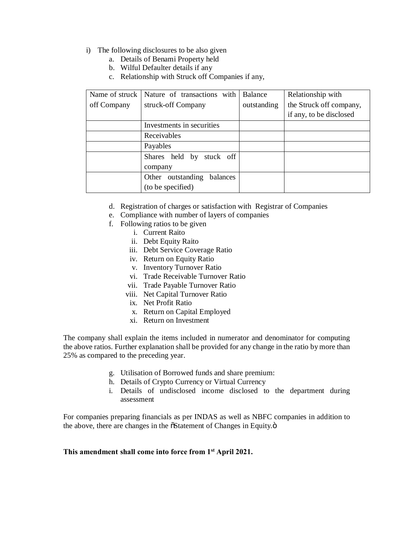- i) The following disclosures to be also given
	- a. Details of Benami Property held
	- b. Wilful Defaulter details if any
	- c. Relationship with Struck off Companies if any,

| Name of struck | Nature of transactions with         | Balance     | Relationship with       |
|----------------|-------------------------------------|-------------|-------------------------|
| off Company    | struck-off Company                  | outstanding | the Struck off company, |
|                |                                     |             | if any, to be disclosed |
|                | Investments in securities           |             |                         |
|                | Receivables                         |             |                         |
|                | Payables                            |             |                         |
|                | Shares held by stuck off<br>company |             |                         |
|                | outstanding<br>balances<br>Other    |             |                         |
|                | (to be specified)                   |             |                         |

- d. Registration of charges or satisfaction with Registrar of Companies
- e. Compliance with number of layers of companies
- f. Following ratios to be given
	- i. Current Raito
	- ii. Debt Equity Raito
	- iii. Debt Service Coverage Ratio
	- iv. Return on Equity Ratio
	- v. Inventory Turnover Ratio
	- vi. Trade Receivable Turnover Ratio
	- vii. Trade Payable Turnover Ratio
	- viii. Net Capital Turnover Ratio
	- ix. Net Profit Ratio
	- x. Return on Capital Employed
	- xi. Return on Investment

The company shall explain the items included in numerator and denominator for computing the above ratios. Further explanation shall be provided for any change in the ratio by more than 25% as compared to the preceding year.

- g. Utilisation of Borrowed funds and share premium:
- h. Details of Crypto Currency or Virtual Currency
- i. Details of undisclosed income disclosed to the department during assessment

For companies preparing financials as per INDAS as well as NBFC companies in addition to the above, there are changes in the  $\tilde{\text{S}}$ Statement of Changes in Equity. $\ddot{\text{o}}$ 

#### **This amendment shall come into force from 1st April 2021.**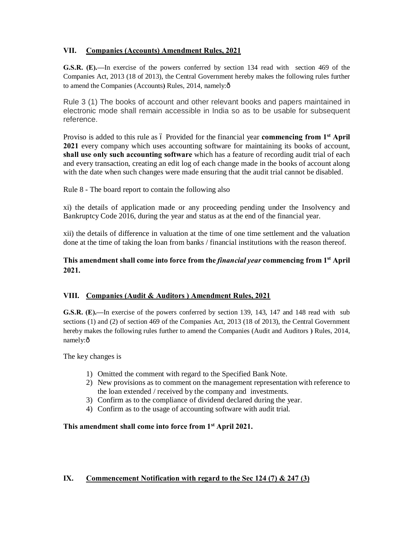# **VII. Companies (Accounts) Amendment Rules, 2021**

**G.S.R. (E).—**In exercise of the powers conferred by section 134 read with section 469 of the Companies Act, 2013 (18 of 2013), the Central Government hereby makes the following rules further to amend the Companies (Accounts) Rules, 2014, namely: $\hat{o}$ 

Rule 3 (1) The books of account and other relevant books and papers maintained in electronic mode shall remain accessible in India so as to be usable for subsequent reference.

Proviso is added to this rule as 6 Provided for the financial year **commencing from 1<sup>st</sup> April 2021** every company which uses accounting software for maintaining its books of account, **shall use only such accounting software** which has a feature of recording audit trial of each and every transaction, creating an edit log of each change made in the books of account along with the date when such changes were made ensuring that the audit trial cannot be disabled.

Rule 8 - The board report to contain the following also

xi) the details of application made or any proceeding pending under the Insolvency and Bankruptcy Code 2016, during the year and status as at the end of the financial year.

xii) the details of difference in valuation at the time of one time settlement and the valuation done at the time of taking the loan from banks / financial institutions with the reason thereof.

# **This amendment shall come into force from the** *financial year* **commencing from 1st April 2021.**

### **VIII. Companies (Audit & Auditors ) Amendment Rules, 2021**

**G.S.R. (E).—**In exercise of the powers conferred by section 139, 143, 147 and 148 read with sub sections (1) and (2) of section 469 of the Companies Act, 2013 (18 of 2013), the Central Government hereby makes the following rules further to amend the Companies (Audit and Auditors **)** Rules, 2014, namely: $\hat{o}$ 

The key changes is

- 1) Omitted the comment with regard to the Specified Bank Note.
- 2) New provisions as to comment on the management representation with reference to the loan extended / received by the company and investments.
- 3) Confirm as to the compliance of dividend declared during the year.
- 4) Confirm as to the usage of accounting software with audit trial.

### **This amendment shall come into force from 1st April 2021.**

### **IX. Commencement Notification with regard to the Sec 124 (7) & 247 (3)**